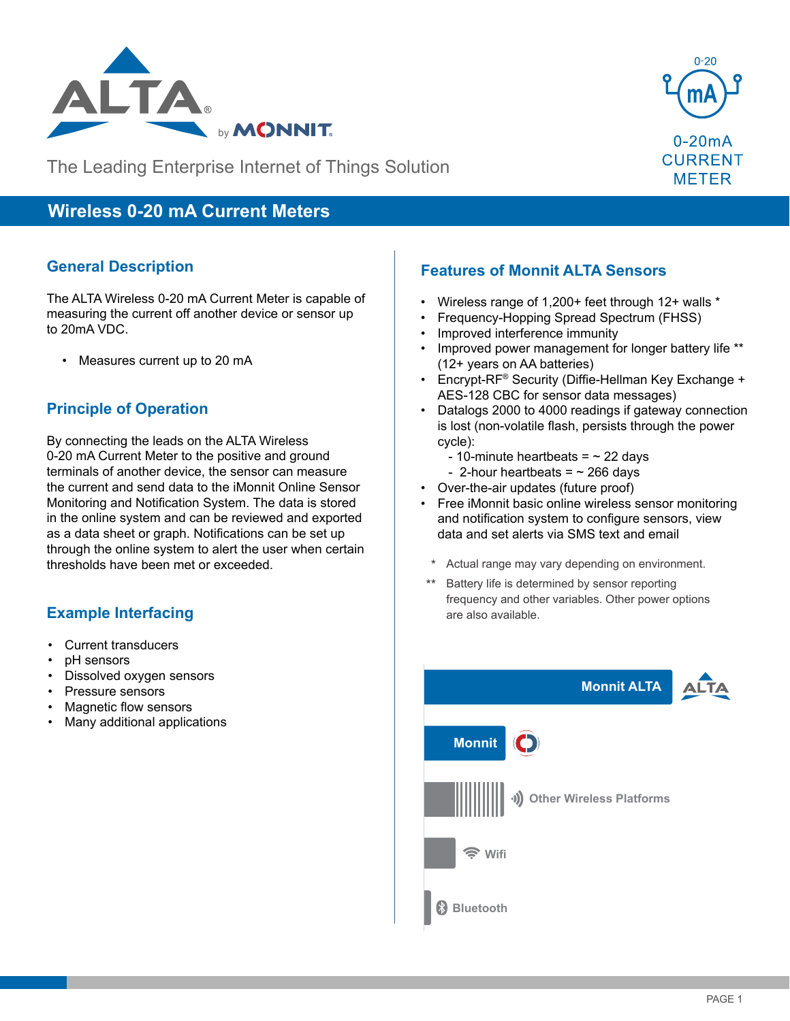



The Leading Enterprise Internet of Things Solution

# **Wireless 0-20 mA Current Meters**

### **General Description**

The ALTA Wireless 0-20 mA Current Meter is capable of measuring the current off another device or sensor up to 20mA VDC.

• Measures current up to 20 mA

### **Principle of Operation**

By connecting the leads on the ALTA Wireless 0-20 mA Current Meter to the positive and ground terminals of another device, the sensor can measure the current and send data to the iMonnit Online Sensor Monitoring and Notification System. The data is stored in the online system and can be reviewed and exported as a data sheet or graph. Notifications can be set up through the online system to alert the user when certain thresholds have been met or exceeded.

### **Example Interfacing**

- Current transducers
- pH sensors
- Dissolved oxygen sensors
- Pressure sensors
- Magnetic flow sensors
- Many additional applications

## **Features of Monnit ALTA Sensors**

- Wireless range of 1,200+ feet through 12+ walls \*
- Frequency-Hopping Spread Spectrum (FHSS)
- Improved interference immunity
- Improved power management for longer battery life \*\* (12+ years on AA batteries)
- Encrypt-RF® Security (Diffie-Hellman Key Exchange + AES-128 CBC for sensor data messages)
- Datalogs 2000 to 4000 readings if gateway connection is lost (non-volatile flash, persists through the power cycle):
	- 10-minute heartbeats =  $\sim$  22 days
	- 2-hour heartbeats =  $\sim$  266 days
- Over-the-air updates (future proof)
- Free iMonnit basic online wireless sensor monitoring and notification system to configure sensors, view data and set alerts via SMS text and email
	- Actual range may vary depending on environment.
	- Battery life is determined by sensor reporting frequency and other variables. Other power options are also available.

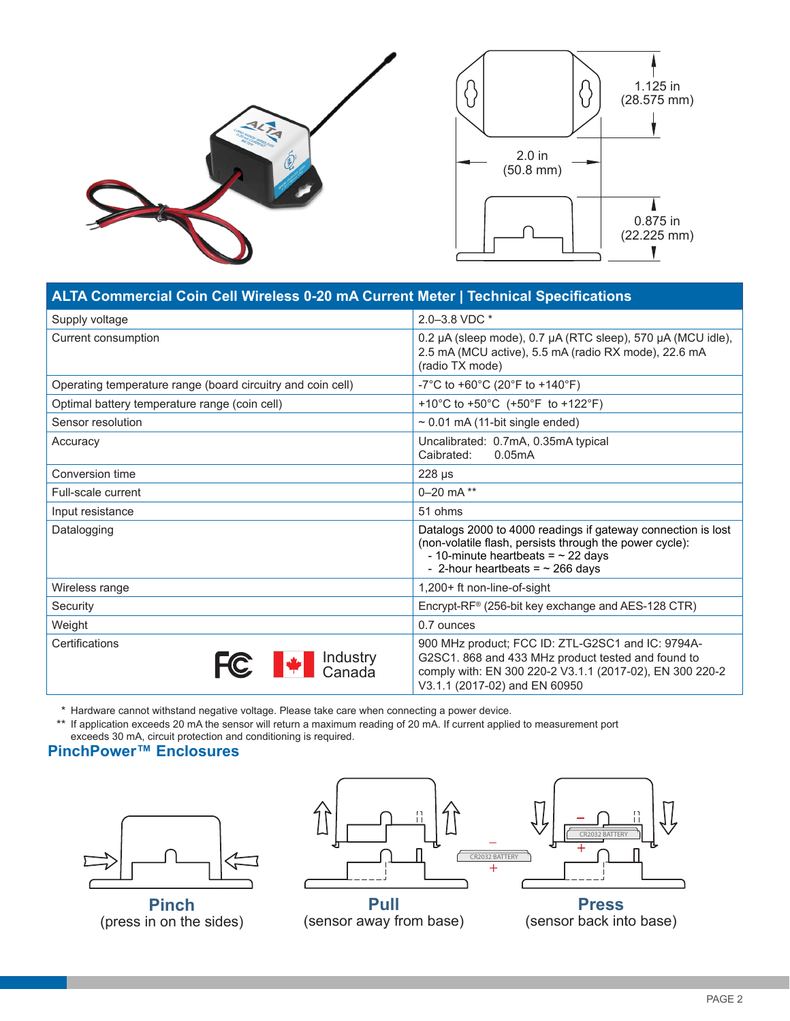

| ALTA Commercial Coin Cell Wireless 0-20 mA Current Meter   Technical Specifications |                                                                                                                                                                                                             |
|-------------------------------------------------------------------------------------|-------------------------------------------------------------------------------------------------------------------------------------------------------------------------------------------------------------|
| Supply voltage                                                                      | 2.0-3.8 VDC *                                                                                                                                                                                               |
| Current consumption                                                                 | 0.2 µA (sleep mode), 0.7 µA (RTC sleep), 570 µA (MCU idle),<br>2.5 mA (MCU active), 5.5 mA (radio RX mode), 22.6 mA<br>(radio TX mode)                                                                      |
| Operating temperature range (board circuitry and coin cell)                         | -7°C to +60°C (20°F to +140°F)                                                                                                                                                                              |
| Optimal battery temperature range (coin cell)                                       | +10°C to +50°C (+50°F to +122°F)                                                                                                                                                                            |
| Sensor resolution                                                                   | $\sim$ 0.01 mA (11-bit single ended)                                                                                                                                                                        |
| Accuracy                                                                            | Uncalibrated: 0.7mA, 0.35mA typical<br>0.05mA<br>Caibrated:                                                                                                                                                 |
| Conversion time                                                                     | 228 µs                                                                                                                                                                                                      |
| Full-scale current                                                                  | $0 - 20$ mA **                                                                                                                                                                                              |
| Input resistance                                                                    | 51 ohms                                                                                                                                                                                                     |
| Datalogging                                                                         | Datalogs 2000 to 4000 readings if gateway connection is lost<br>(non-volatile flash, persists through the power cycle):<br>- 10-minute heartbeats = $\sim$ 22 days<br>- 2-hour heartbeats = $\sim$ 266 days |
| Wireless range                                                                      | 1,200+ ft non-line-of-sight                                                                                                                                                                                 |
| Security                                                                            | Encrypt-RF <sup>®</sup> (256-bit key exchange and AES-128 CTR)                                                                                                                                              |
| Weight                                                                              | 0.7 ounces                                                                                                                                                                                                  |
| Certifications<br>Industry<br>Canada                                                | 900 MHz product; FCC ID: ZTL-G2SC1 and IC: 9794A-<br>G2SC1. 868 and 433 MHz product tested and found to<br>comply with: EN 300 220-2 V3.1.1 (2017-02), EN 300 220-2<br>V3.1.1 (2017-02) and EN 60950        |

\* Hardware cannot withstand negative voltage. Please take care when connecting a power device.

\*\* If application exceeds 20 mA the sensor will return a maximum reading of 20 mA. If current applied to measurement port exceeds 30 mA, circuit protection and conditioning is required.

## **PinchPower™ Enclosures**



**Pinch** (press in on the sides)



**Pull** (sensor away from base)

**Press** (sensor back into base)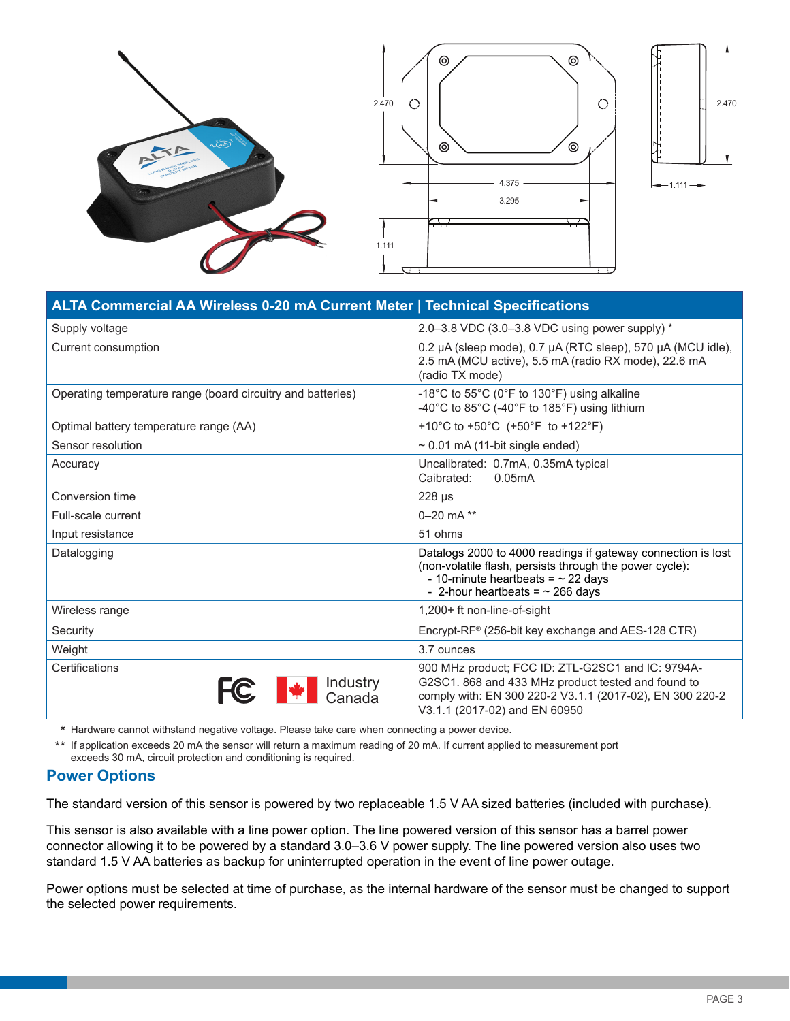





| ALTA Commercial AA Wireless 0-20 mA Current Meter   Technical Specifications |                                                                                                                                                                                                             |  |
|------------------------------------------------------------------------------|-------------------------------------------------------------------------------------------------------------------------------------------------------------------------------------------------------------|--|
| Supply voltage                                                               | 2.0-3.8 VDC (3.0-3.8 VDC using power supply) *                                                                                                                                                              |  |
| Current consumption                                                          | 0.2 µA (sleep mode), 0.7 µA (RTC sleep), 570 µA (MCU idle),<br>2.5 mA (MCU active), 5.5 mA (radio RX mode), 22.6 mA<br>(radio TX mode)                                                                      |  |
| Operating temperature range (board circuitry and batteries)                  | -18°C to 55°C (0°F to 130°F) using alkaline<br>-40 $^{\circ}$ C to 85 $^{\circ}$ C (-40 $^{\circ}$ F to 185 $^{\circ}$ F) using lithium                                                                     |  |
| Optimal battery temperature range (AA)                                       | +10°C to +50°C $(+50^{\circ}F)$ to +122°F)                                                                                                                                                                  |  |
| Sensor resolution                                                            | $\sim$ 0.01 mA (11-bit single ended)                                                                                                                                                                        |  |
| Accuracy                                                                     | Uncalibrated: 0.7mA, 0.35mA typical<br>Caibrated:<br>0.05mA                                                                                                                                                 |  |
| Conversion time                                                              | 228 µs                                                                                                                                                                                                      |  |
| Full-scale current                                                           | 0 $-20$ mA **                                                                                                                                                                                               |  |
| Input resistance                                                             | 51 ohms                                                                                                                                                                                                     |  |
| Datalogging                                                                  | Datalogs 2000 to 4000 readings if gateway connection is lost<br>(non-volatile flash, persists through the power cycle):<br>- 10-minute heartbeats = $\sim$ 22 days<br>- 2-hour heartbeats = $\sim$ 266 days |  |
| Wireless range                                                               | 1,200+ ft non-line-of-sight                                                                                                                                                                                 |  |
| Security                                                                     | Encrypt-RF® (256-bit key exchange and AES-128 CTR)                                                                                                                                                          |  |
| Weight                                                                       | 3.7 ounces                                                                                                                                                                                                  |  |
| Certifications<br>Industry<br><br>Canada                                     | 900 MHz product; FCC ID: ZTL-G2SC1 and IC: 9794A-<br>G2SC1. 868 and 433 MHz product tested and found to<br>comply with: EN 300 220-2 V3.1.1 (2017-02), EN 300 220-2<br>V3.1.1 (2017-02) and EN 60950        |  |

\* Hardware cannot withstand negative voltage. Please take care when connecting a power device.

\*\* If application exceeds 20 mA the sensor will return a maximum reading of 20 mA. If current applied to measurement port exceeds 30 mA, circuit protection and conditioning is required.

#### **Power Options**

The standard version of this sensor is powered by two replaceable 1.5 V AA sized batteries (included with purchase).

This sensor is also available with a line power option. The line powered version of this sensor has a barrel power connector allowing it to be powered by a standard 3.0–3.6 V power supply. The line powered version also uses two standard 1.5 V AA batteries as backup for uninterrupted operation in the event of line power outage.

Power options must be selected at time of purchase, as the internal hardware of the sensor must be changed to support the selected power requirements.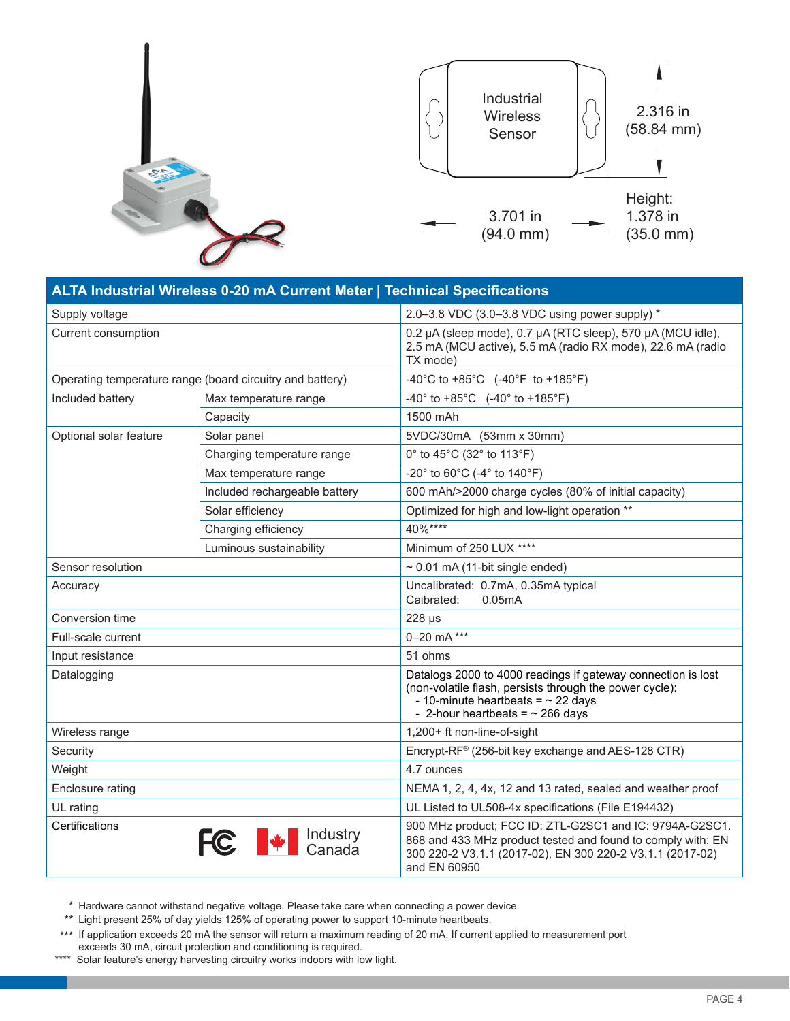



| <b>ALTA Industrial Wireless 0-20 mA Current Meter   Technical Specifications</b> |                               |                                                                                                                                                                                                             |  |
|----------------------------------------------------------------------------------|-------------------------------|-------------------------------------------------------------------------------------------------------------------------------------------------------------------------------------------------------------|--|
| Supply voltage                                                                   |                               | 2.0-3.8 VDC (3.0-3.8 VDC using power supply) *                                                                                                                                                              |  |
| Current consumption                                                              |                               | 0.2 µA (sleep mode), 0.7 µA (RTC sleep), 570 µA (MCU idle),<br>2.5 mA (MCU active), 5.5 mA (radio RX mode), 22.6 mA (radio<br>TX mode)                                                                      |  |
| Operating temperature range (board circuitry and battery)                        |                               | -40°C to +85°C $(-40^{\circ}F$ to +185°F)                                                                                                                                                                   |  |
| Included battery                                                                 | Max temperature range         | -40° to +85°C $(-40°$ to +185°F)                                                                                                                                                                            |  |
|                                                                                  | Capacity                      | 1500 mAh                                                                                                                                                                                                    |  |
| Optional solar feature                                                           | Solar panel                   | 5VDC/30mA (53mm x 30mm)                                                                                                                                                                                     |  |
|                                                                                  | Charging temperature range    | 0° to 45°C (32° to 113°F)                                                                                                                                                                                   |  |
|                                                                                  | Max temperature range         | -20° to 60°C (-4° to 140°F)                                                                                                                                                                                 |  |
|                                                                                  | Included rechargeable battery | 600 mAh/>2000 charge cycles (80% of initial capacity)                                                                                                                                                       |  |
|                                                                                  | Solar efficiency              | Optimized for high and low-light operation **                                                                                                                                                               |  |
|                                                                                  | Charging efficiency           | 40%****                                                                                                                                                                                                     |  |
|                                                                                  | Luminous sustainability       | Minimum of 250 LUX ****                                                                                                                                                                                     |  |
| Sensor resolution                                                                |                               | $\sim$ 0.01 mA (11-bit single ended)                                                                                                                                                                        |  |
| Accuracy                                                                         |                               | Uncalibrated: 0.7mA, 0.35mA typical<br>Caibrated:<br>0.05mA                                                                                                                                                 |  |
| Conversion time                                                                  |                               | 228 µs                                                                                                                                                                                                      |  |
| Full-scale current                                                               |                               | 0-20 mA ***                                                                                                                                                                                                 |  |
| Input resistance                                                                 |                               | 51 ohms                                                                                                                                                                                                     |  |
| Datalogging                                                                      |                               | Datalogs 2000 to 4000 readings if gateway connection is lost<br>(non-volatile flash, persists through the power cycle):<br>- 10-minute heartbeats = $\sim$ 22 days<br>- 2-hour heartbeats = $\sim$ 266 days |  |
| Wireless range                                                                   |                               | 1,200+ ft non-line-of-sight                                                                                                                                                                                 |  |
| Security                                                                         |                               | Encrypt-RF® (256-bit key exchange and AES-128 CTR)                                                                                                                                                          |  |
| Weight                                                                           |                               | 4.7 ounces                                                                                                                                                                                                  |  |
| Enclosure rating                                                                 |                               | NEMA 1, 2, 4, 4x, 12 and 13 rated, sealed and weather proof                                                                                                                                                 |  |
| UL rating                                                                        |                               | UL Listed to UL508-4x specifications (File E194432)                                                                                                                                                         |  |
| Certifications                                                                   | Industry<br>Canada            | 900 MHz product; FCC ID: ZTL-G2SC1 and IC: 9794A-G2SC1.<br>868 and 433 MHz product tested and found to comply with: EN<br>300 220-2 V3.1.1 (2017-02), EN 300 220-2 V3.1.1 (2017-02)<br>and EN 60950         |  |

\* Hardware cannot withstand negative voltage. Please take care when connecting a power device.

\*\* Light present 25% of day yields 125% of operating power to support 10-minute heartbeats.

\*\*\* If application exceeds 20 mA the sensor will return a maximum reading of 20 mA. If current applied to measurement port exceeds 30 mA, circuit protection and conditioning is required.

\*\*\*\* Solar feature's energy harvesting circuitry works indoors with low light.